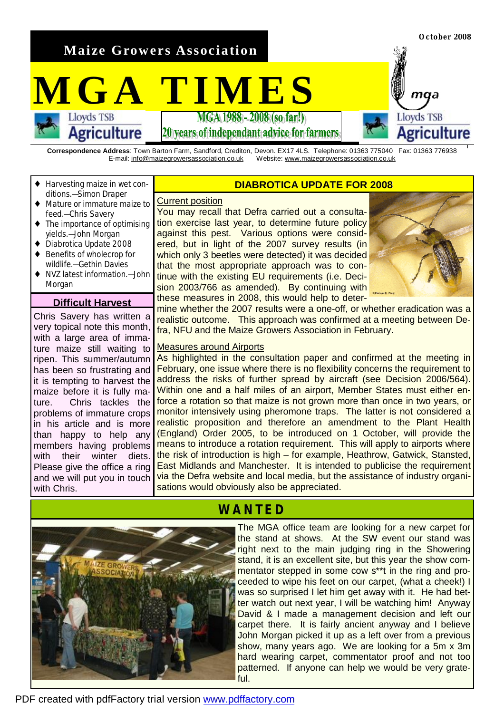**Maize Growers Association** 

 $\mathbf{MGA}$  **TIMES** 

**Agriculture** 

20 vears of independant advice for farmers

**Correspondence Address**: Town Barton Farm, Sandford, Crediton, Devon. EX17 4LS. Telephone: 01363 775040 Fax: 01363 776938 E-mail: [info@maizegrowersassociation.co.uk](mailto:info@maizegrowersassociation.co.uk) Website: [www.maizegrowersassociation.co.uk](http://www.maizegrowersassociation.co.uk)

- Harvesting maize in wet conditions.—Simon Draper
- Mature or immature maize to feed.—Chris Savery
- The importance of optimising yields.—John Morgan
- Diabrotica Update 2008
- Benefits of wholecrop for wildlife.—Gethin Davies
- ♦ NVZ latest information.—John Morgan

### **Difficult Harvest**

Chris Savery has written a very topical note this month, with a large area of immature maize still waiting to ripen. This summer/autumn has been so frustrating and it is tempting to harvest the maize before it is fully mature. Chris tackles the problems of immature crops in his article and is more than happy to help any members having problems with their winter diets. Please give the office a ring and we will put you in touch with Chris.

### **DIABROTICA UPDATE FOR 2008**

#### Current position

You may recall that Defra carried out a consultation exercise last year, to determine future policy against this pest. Various options were considered, but in light of the 2007 survey results (in which only 3 beetles were detected) it was decided that the most appropriate approach was to continue with the existing EU requirements (i.e. Decision 2003/766 as amended). By continuing with these measures in 2008, this would help to deter-



**October 2008** 

maa

Agriculture

**Lloyds TSB** 

mine whether the 2007 results were a one-off, or whether eradication was a realistic outcome. This approach was confirmed at a meeting between Defra, NFU and the Maize Growers Association in February.

### Measures around Airports

As highlighted in the consultation paper and confirmed at the meeting in February, one issue where there is no flexibility concerns the requirement to address the risks of further spread by aircraft (see Decision 2006/564). Within one and a half miles of an airport, Member States must either enforce a rotation so that maize is not grown more than once in two years, or monitor intensively using pheromone traps. The latter is not considered a realistic proposition and therefore an amendment to the Plant Health (England) Order 2005, to be introduced on 1 October, will provide the means to introduce a rotation requirement. This will apply to airports where the risk of introduction is high – for example, Heathrow, Gatwick, Stansted, East Midlands and Manchester. It is intended to publicise the requirement via the Defra website and local media, but the assistance of industry organisations would obviously also be appreciated.

## **WANTED**

The MGA office team are looking for a new carpet for the stand at shows. At the SW event our stand was right next to the main judging ring in the Showering stand, it is an excellent site, but this year the show commentator stepped in some cow s\*\*t in the ring and proceeded to wipe his feet on our carpet, (what a cheek!) I was so surprised I let him get away with it. He had better watch out next year, I will be watching him! Anyway David & I made a management decision and left our carpet there. It is fairly ancient anyway and I believe John Morgan picked it up as a left over from a previous show, many years ago. We are looking for a 5m x 3m hard wearing carpet, commentator proof and not too patterned. If anyone can help we would be very grateful.

PDF created with pdfFactory trial version [www.pdffactory.com](http://www.pdffactory.com)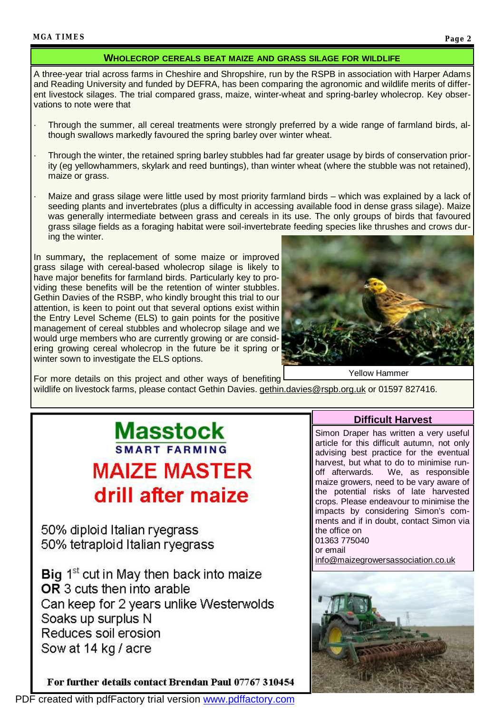### **WHOLECROP CEREALS BEAT MAIZE AND GRASS SILAGE FOR WILDLIFE**

A three-year trial across farms in Cheshire and Shropshire, run by the RSPB in association with Harper Adams and Reading University and funded by DEFRA, has been comparing the agronomic and wildlife merits of different livestock silages. The trial compared grass, maize, winter-wheat and spring-barley wholecrop. Key observations to note were that

- Through the summer, all cereal treatments were strongly preferred by a wide range of farmland birds, although swallows markedly favoured the spring barley over winter wheat.
- Through the winter, the retained spring barley stubbles had far greater usage by birds of conservation priority (eg yellowhammers, skylark and reed buntings), than winter wheat (where the stubble was not retained), maize or grass.
- Maize and grass silage were little used by most priority farmland birds which was explained by a lack of seeding plants and invertebrates (plus a difficulty in accessing available food in dense grass silage). Maize was generally intermediate between grass and cereals in its use. The only groups of birds that favoured grass silage fields as a foraging habitat were soil-invertebrate feeding species like thrushes and crows during the winter.

In summary**,** the replacement of some maize or improved grass silage with cereal-based wholecrop silage is likely to have major benefits for farmland birds. Particularly key to providing these benefits will be the retention of winter stubbles. Gethin Davies of the RSBP, who kindly brought this trial to our attention, is keen to point out that several options exist within the Entry Level Scheme (ELS) to gain points for the positive management of cereal stubbles and wholecrop silage and we would urge members who are currently growing or are considering growing cereal wholecrop in the future be it spring or winter sown to investigate the ELS options.



For more details on this project and other ways of benefiting wildlife on livestock farms, please contact Gethin Davies. [gethin.davies@rspb.org.uk](mailto:gethin.davies@rspb.org.uk) or 01597 827416. Yellow Hammer

# **Masstock SMART FARMING MAIZE MASTER** drill after maize

50% diploid Italian ryegrass 50% tetraploid Italian ryegrass

Big 1<sup>st</sup> cut in May then back into maize OR 3 cuts then into arable Can keep for 2 years unlike Westerwolds Soaks up surplus N Reduces soil erosion Sow at 14 kg / acre

For further details contact Brendan Paul 07767 310454

### **Difficult Harvest**

Simon Draper has written a very useful article for this difficult autumn, not only advising best practice for the eventual harvest, but what to do to minimise runoff afterwards. We, as responsible maize growers, need to be vary aware of the potential risks of late harvested crops. Please endeavour to minimise the impacts by considering Simon's comments and if in doubt, contact Simon via the office on 01363 775040

or email

[info@maizegrowersassociation.co.uk](mailto:info@maizegrowersassociation.co.uk)